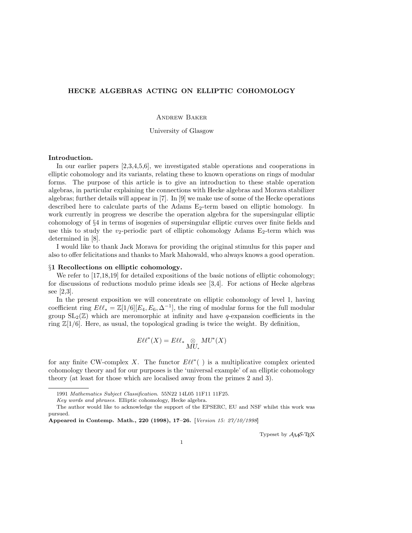# HECKE ALGEBRAS ACTING ON ELLIPTIC COHOMOLOGY

Andrew Baker

University of Glasgow

# Introduction.

In our earlier papers [2,3,4,5,6], we investigated stable operations and cooperations in elliptic cohomology and its variants, relating these to known operations on rings of modular forms. The purpose of this article is to give an introduction to these stable operation algebras, in particular explaining the connections with Hecke algebras and Morava stabilizer algebras; further details will appear in [7]. In [9] we make use of some of the Hecke operations described here to calculate parts of the Adams  $E_2$ -term based on elliptic homology. In work currently in progress we describe the operation algebra for the supersingular elliptic cohomology of §4 in terms of isogenies of supersingular elliptic curves over finite fields and use this to study the  $v_2$ -periodic part of elliptic cohomology Adams  $E_2$ -term which was determined in [8].

I would like to thank Jack Morava for providing the original stimulus for this paper and also to offer felicitations and thanks to Mark Mahowald, who always knows a good operation.

### §1 Recollections on elliptic cohomology.

We refer to [17,18,19] for detailed expositions of the basic notions of elliptic cohomology; for discussions of reductions modulo prime ideals see [3,4]. For actions of Hecke algebras see [2,3].

In the present exposition we will concentrate on elliptic cohomology of level 1, having coefficient ring  $E\ell\ell_* = \mathbb{Z}[1/6][E_4, E_6, \Delta^{-1}]$ , the ring of modular forms for the full modular group  $SL_2(\mathbb{Z})$  which are meromorphic at infinity and have q-expansion coefficients in the ring  $\mathbb{Z}[1/6]$ . Here, as usual, the topological grading is twice the weight. By definition,

$$
E\ell\ell^*(X)=E\ell\ell_* \mathop{\otimes}_{MU_*} MU^*(X)
$$

for any finite CW-complex X. The functor  $E\ell\ell^*$  ) is a multiplicative complex oriented cohomology theory and for our purposes is the 'universal example' of an elliptic cohomology theory (at least for those which are localised away from the primes 2 and 3).

Typeset by  $A_{\mathcal{M}}S$ -T<sub>E</sub>X

<sup>1991</sup> Mathematics Subject Classification. 55N22 14L05 11F11 11F25.

Key words and phrases. Elliptic cohomology, Hecke algebra.

The author would like to acknowledge the support of the EPSERC, EU and NSF whilst this work was pursued.

Appeared in Contemp. Math., 220 (1998), 17–26. [Version 15: 27/10/1998]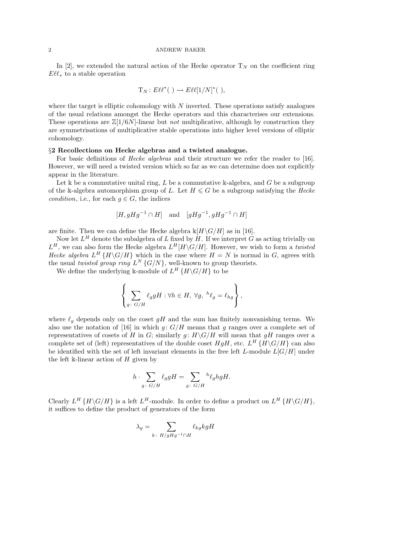#### 2 ANDREW BAKER

In [2], we extended the natural action of the Hecke operator  $T_N$  on the coefficient ring  $E\ell\ell_*$  to a stable operation

$$
T_N: E\ell\ell^*(\ ) \longrightarrow E\ell\ell[1/N]^*(\ )
$$

where the target is elliptic cohomology with  $N$  inverted. These operations satisfy analogues of the usual relations amongst the Hecke operators and this characterises our extensions. These operations are  $\mathbb{Z}[1/6N]$ -linear but *not* multiplicative, although by construction they are symmetrisations of multiplicative stable operations into higher level versions of elliptic cohomology.

#### §2 Recollections on Hecke algebras and a twisted analogue.

For basic definitions of *Hecke algebras* and their structure we refer the reader to [16]. However, we will need a twisted version which so far as we can determine does not explicitly appear in the literature.

Let k be a commutative unital ring, L be a commutative k-algebra, and G be a subgroup of the k-algebra automorphism group of L. Let  $H \leq G$  be a subgroup satisfying the Hecke condition, i.e., for each  $q \in G$ , the indices

$$
[H, gHg^{-1} \cap H]
$$
 and  $[gHg^{-1}, gHg^{-1} \cap H]$ 

are finite. Then we can define the Hecke algebra  $\mathbb{K}[H\backslash G/H]$  as in [16].

Now let  $L^H$  denote the subalgebra of L fixed by H. If we interpret G as acting trivially on  $L^H$ , we can also form the Hecke algebra  $L^H[H\backslash G/H]$ . However, we wish to form a twisted Hecke algebra  $L^H$  {H\G/H} which in the case where  $H = N$  is normal in G, agrees with the usual twisted group ring  $L^N$  { $G/N$ }, well-known to group theorists.

We define the underlying k-module of  $L^H$  { $H\backslash G/H$ } to be

$$
\left\{\sum_{g\colon G/H}\ell_g gH:\forall h\in H,\ \forall g,\ {}^h\ell_g=\ell_{hg}\right\},
$$

where  $\ell_q$  depends only on the coset gH and the sum has finitely nonvanishing terms. We also use the notation of [16] in which  $g: G/H$  means that g ranges over a complete set of representatives of cosets of H in G; similarly  $g: H\backslash G/H$  will mean that  $gH$  ranges over a complete set of (left) representatives of the double coset  $HgH$ , etc.  $L^H$  { $H\setminus G/H$ } can also be identified with the set of left invariant elements in the free left L-module  $L[G/H]$  under the left k-linear action of  $H$  given by

$$
h \cdot \sum_{g \colon G/H} \ell_g g H = \sum_{g \colon G/H} {}^h \ell_g h g H.
$$

Clearly  $L^H$  { $H\backslash G/H$ } is a left  $L^H$ -module. In order to define a product on  $L^H$  { $H\backslash G/H$ }, it suffices to define the product of generators of the form

$$
\lambda_g = \sum_{k \; : \; H/gHg^{-1} \cap H} \ell_{kg} kgH
$$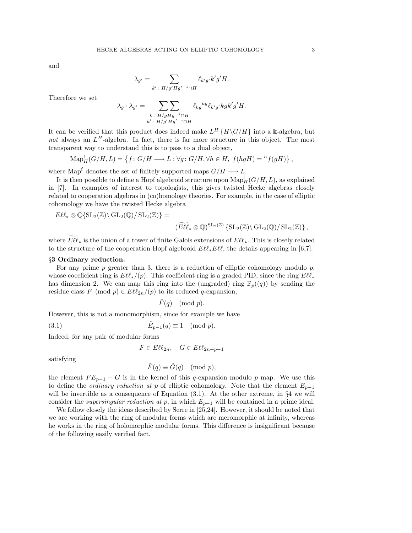and

$$
\lambda_{g'} = \sum_{k': H/g'Hg'^{-1}\cap H} \ell_{k'g'}k'g'H.
$$

Therefore we set

$$
\lambda_g \cdot \lambda_{g'} = \sum_{\substack{k \colon H/gHg^{-1} \cap H \\ k' \colon H/g'Hg'^{-1} \cap H}} \ell_{kg}^{kg} \ell_{k'g'} k g k' g'H.
$$

It can be verified that this product does indeed make  $L^H$  { $H \setminus G/H$ } into a k-algebra, but not always an  $L^H$ -algebra. In fact, there is far more structure in this object. The most transparent way to understand this is to pass to a dual object,

$$
\mathrm{Map}_H^{\mathrm{f}}(G/H, L) = \left\{ f : G/H \longrightarrow L : \forall g \colon G/H, \forall h \in H, \ f(hgH) = {}^h f(gH) \right\},\
$$

where Map<sup>f</sup> denotes the set of finitely supported maps  $G/H \longrightarrow L$ .

It is then possible to define a Hopf algebroid structure upon  $\operatorname{Map}_H^{\mathsf{f}}(G/H,L)$ , as explained in [7]. In examples of interest to topologists, this gives twisted Hecke algebras closely related to cooperation algebras in (co)homology theories. For example, in the case of elliptic cohomology we have the twisted Hecke algebra

$$
E\ell\ell_* \otimes \mathbb{Q}\{\mathrm{SL}_2(\mathbb{Z}) \setminus \mathrm{GL}_2(\mathbb{Q})/\, \mathrm{SL}_2(\mathbb{Z})\} =
$$
  

$$
(\widetilde{E\ell\ell_*} \otimes \mathbb{Q})^{\mathrm{SL}_2(\mathbb{Z})}\{\mathrm{SL}_2(\mathbb{Z}) \setminus \mathrm{GL}_2(\mathbb{Q})/\, \mathrm{SL}_2(\mathbb{Z})\},
$$

where  $\widetilde{E\ell\ell_*}$  is the union of a tower of finite Galois extensions of  $E\ell\ell_*$ . This is closely related to the structure of the cooperation Hopf algebroid  $E\ell^*$ , E $\ell\ell$ , the details appearing in [6,7].

## §3 Ordinary reduction.

For any prime p greater than 3, there is a reduction of elliptic cohomology modulo  $p$ , whose coefficient ring is  $E\ell\ell_*/(p)$ . This coefficient ring is a graded PID, since the ring  $E\ell\ell_*$ has dimension 2. We can map this ring into the (ungraded) ring  $\mathbb{F}_p((q))$  by sending the residue class  $F \pmod{p} \in E\ell\ell_{2n}/(p)$  to its reduced q-expansion,

$$
\tilde{F}(q) \pmod{p}.
$$

However, this is not a monomorphism, since for example we have

(3.1) 
$$
\tilde{E}_{p-1}(q) \equiv 1 \pmod{p}.
$$

Indeed, for any pair of modular forms

$$
F \in E\ell\ell_{2n}, \quad G \in E\ell\ell_{2n+p-1}
$$

satisfying

$$
\tilde{F}(q) \equiv \tilde{G}(q) \pmod{p},
$$

the element  $FE_{p-1}-G$  is in the kernel of this q-expansion modulo p map. We use this to define the *ordinary reduction at p* of elliptic cohomology. Note that the element  $E_{p-1}$ will be invertible as a consequence of Equation  $(3.1)$ . At the other extreme, in §4 we will consider the *supersingular reduction at p*, in which  $E_{p-1}$  will be contained in a prime ideal.

We follow closely the ideas described by Serre in [25,24]. However, it should be noted that we are working with the ring of modular forms which are meromorphic at infinity, whereas he works in the ring of holomorphic modular forms. This difference is insignificant because of the following easily verified fact.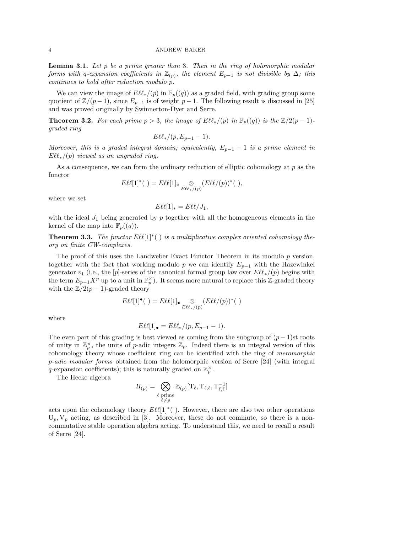**Lemma 3.1.** Let  $p$  be a prime greater than 3. Then in the ring of holomorphic modular forms with q-expansion coefficients in  $\mathbb{Z}_{(p)}$ , the element  $E_{p-1}$  is not divisible by  $\Delta$ ; this continues to hold after reduction modulo p.

We can view the image of  $E\ell^*(p)$  in  $\mathbb{F}_p((q))$  as a graded field, with grading group some quotient of  $\mathbb{Z}/(p-1)$ , since  $E_{p-1}$  is of weight  $p-1$ . The following result is discussed in [25] and was proved originally by Swinnerton-Dyer and Serre.

**Theorem 3.2.** For each prime  $p > 3$ , the image of  $E\ell^*(p)$  in  $\mathbb{F}_p((q))$  is the  $\mathbb{Z}/2(p - 1)$ graded ring

$$
E\ell\ell_*/(p,E_{p-1}-1).
$$

Moreover, this is a graded integral domain; equivalently,  $E_{p-1} - 1$  is a prime element in  $E\ell\ell_*/(p)$  viewed as an ungraded ring.

As a consequence, we can form the ordinary reduction of elliptic cohomology at  $p$  as the functor

$$
E\ell\ell[1]^*(\ )=E\ell\ell[1]_*\underset{E\ell\ell_*/(p)}{\otimes}(E\ell\ell/(p))^*(\ ),
$$

where we set

$$
E\ell\ell[1]_* = E\ell\ell/J_1,
$$

with the ideal  $J_1$  being generated by p together with all the homogeneous elements in the kernel of the map into  $\mathbb{F}_p((q))$ .

**Theorem 3.3.** The functor  $E\ell\ell[1]^*$  ( ) is a multiplicative complex oriented cohomology theory on finite CW-complexes.

The proof of this uses the Landweber Exact Functor Theorem in its modulo p version, together with the fact that working modulo p we can identify  $E_{p-1}$  with the Hazewinkel generator  $v_1$  (i.e., the [p]-series of the canonical formal group law over  $E\ell\ell_*/(p)$  begins with the term  $E_{p-1}X^p$  up to a unit in  $\mathbb{F}_p^{\times}$ . It seems more natural to replace this Z-graded theory with the  $\mathbb{Z}/2(p-1)$ -graded theory

$$
E\ell\ell[1]^\bullet(\ )=E\ell\ell[1]_\bullet\underset{E\ell\ell_*/(p)}{\otimes}(E\ell\ell/(p))^*(\ )
$$

where

$$
E\ell\ell[1]_{\bullet} = E\ell\ell_{\ast}/(p, E_{p-1} - 1).
$$

The even part of this grading is best viewed as coming from the subgroup of  $(p-1)$ st roots of unity in  $\mathbb{Z}_p^{\times}$ , the units of p-adic integers  $\mathbb{Z}_p$ . Indeed there is an integral version of this cohomology theory whose coefficient ring can be identified with the ring of meromorphic p-adic modular forms obtained from the holomorphic version of Serre [24] (with integral q-expansion coefficients); this is naturally graded on  $\mathbb{Z}_p^{\times}$ .

The Hecke algebra

$$
H_{(p)} = \bigotimes_{\substack{\ell \text{ prime} \\ \ell \neq p}} \mathbb{Z}_{(p)}[\mathrm{T}_{\ell}, \mathrm{T}_{\ell, \ell}, \mathrm{T}_{\ell, \ell}^{-1}]
$$

acts upon the cohomology theory  $E\ell\ell[1]^*$  ( ). However, there are also two other operations  $U_p, V_p$  acting, as described in [3]. Moreover, these do not commute, so there is a noncommutative stable operation algebra acting. To understand this, we need to recall a result of Serre [24].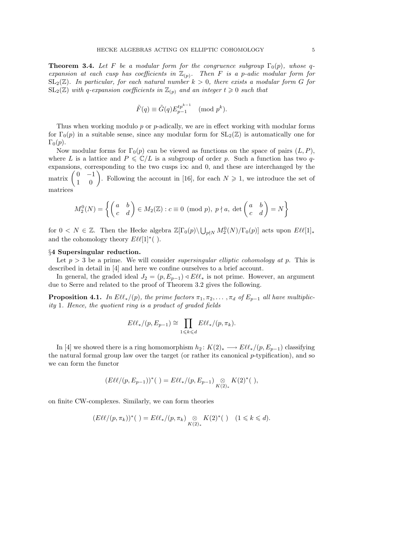**Theorem 3.4.** Let F be a modular form for the congruence subgroup  $\Gamma_0(p)$ , whose qexpansion at each cusp has coefficients in  $\mathbb{Z}_{(p)}$ . Then F is a p-adic modular form for  $SL_2(\mathbb{Z})$ . In particular, for each natural number  $k > 0$ , there exists a modular form G for  $SL_2(\mathbb{Z})$  with q-expansion coefficients in  $\mathbb{Z}_{(p)}$  and an integer  $t \geq 0$  such that

$$
\tilde{F}(q) \equiv \tilde{G}(q) E_{p-1}^{tp^{k-1}} \pmod{p^k}.
$$

Thus when working modulo p or p-adically, we are in effect working with modular forms for  $\Gamma_0(p)$  in a suitable sense, since any modular form for  $SL_2(\mathbb{Z})$  is automatically one for  $\Gamma_0(p)$ .

Now modular forms for  $\Gamma_0(p)$  can be viewed as functions on the space of pairs  $(L, P)$ , where L is a lattice and  $P \leq \mathbb{C}/L$  is a subgroup of order p. Such a function has two qexpansions, corresponding to the two cusps i $\infty$  and 0, and these are interchanged by the matrix  $0 -1$ is, corresponding to the two cusps  $1 \infty$  and 0, and these are interchanged by the  $\begin{pmatrix} 0 & -1 \\ 1 & 0 \end{pmatrix}$ . Following the account in [16], for each  $N \ge 1$ , we introduce the set of matrices

$$
M_2^0(N) = \left\{ \begin{pmatrix} a & b \\ c & d \end{pmatrix} \in M_2(\mathbb{Z}) : c \equiv 0 \pmod{p}, \ p \nmid a, \ \det\begin{pmatrix} a & b \\ c & d \end{pmatrix} = N \right\}
$$

for  $0 < N \in \mathbb{Z}$ . Then the Hecke algebra  $\mathbb{Z}[\Gamma_0(p) \setminus \bigcup_{p \nmid N} M_2^0(N) / \Gamma_0(p)]$  acts upon  $E\ell\ell[1]_*$ and the cohomology theory  $E\ell\ell[1]^*$  ().

### §4 Supersingular reduction.

Let  $p > 3$  be a prime. We will consider supersingular elliptic cohomology at p. This is described in detail in [4] and here we confine ourselves to a brief account.

In general, the graded ideal  $J_2 = (p, E_{p-1}) \triangleleft E\ell\ell_*$  is not prime. However, an argument due to Serre and related to the proof of Theorem 3.2 gives the following.

**Proposition 4.1.** In  $E\ell\ell_*/(p)$ , the prime factors  $\pi_1, \pi_2, \ldots, \pi_d$  of  $E_{p-1}$  all have multiplicity 1. Hence, the quotient ring is a product of graded fields

$$
E\ell\ell_*/(p,E_{p-1})\cong \prod_{1\leqslant k\leqslant d}E\ell\ell_*/(p,\pi_k).
$$

In [4] we showed there is a ring homomorphism  $h_2: K(2)_* \longrightarrow E\ell\ell_*/(p, E_{p-1})$  classifying the natural formal group law over the target (or rather its canonical p-typification), and so we can form the functor

$$
(E\ell\ell/(p,E_{p-1}))^*(\ )=E\ell\ell_*/(p,E_{p-1})\underset{K(2)_*}{\otimes}K(2)^*(\ ),
$$

on finite CW-complexes. Similarly, we can form theories

$$
(E\ell\ell/(p,\pi_k))^*(\ )=E\ell\ell_*/(p,\pi_k)\underset{K(2)_*}{\otimes}K(2)^*(\ )\quad(1\leqslant k\leqslant d).
$$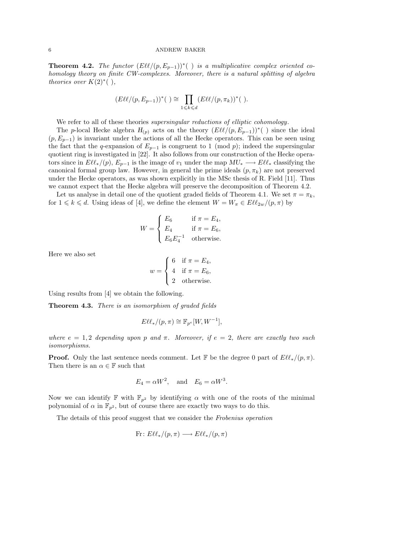#### 6 ANDREW BAKER

**Theorem 4.2.** The functor  $(E\ell\ell/(p, E_{p-1}))^*$  (*)* is a multiplicative complex oriented cohomology theory on finite CW-complexes. Moreover, there is a natural splitting of algebra theories over  $K(2)$ <sup>\*</sup> $( )$ ,

$$
(E\ell\ell/(p,E_{p-1}))^*(\ )\cong \prod_{1\leq k\leq d} (E\ell\ell/(p,\pi_k))^*(\ ).
$$

We refer to all of these theories *supersingular reductions of elliptic cohomology*.

The p-local Hecke algebra  $H_{(p)}$  acts on the theory  $(E\ell\ell/(p, E_{p-1}))^*$  () since the ideal  $(p, E_{p-1})$  is invariant under the actions of all the Hecke operators. This can be seen using the fact that the q-expansion of  $E_{p-1}$  is congruent to 1 (mod p); indeed the supersingular quotient ring is investigated in [22]. It also follows from our construction of the Hecke operators since in  $E\ell\ell_*/(p), E_{p-1}$  is the image of  $v_1$  under the map  $MU_* \longrightarrow E\ell\ell_*$  classifying the canonical formal group law. However, in general the prime ideals  $(p, \pi_k)$  are not preserved under the Hecke operators, as was shown explicitly in the MSc thesis of R. Field [11]. Thus we cannot expect that the Hecke algebra will preserve the decomposition of Theorem 4.2.

Let us analyse in detail one of the quotient graded fields of Theorem 4.1. We set  $\pi = \pi_k$ , for  $1 \leq k \leq d$ . Using ideas of [4], we define the element  $W = W_{\pi} \in E\ell\ell_{2w}/(p,\pi)$  by

$$
W = \begin{cases} E_6 & \text{if } \pi = E_4, \\ E_4 & \text{if } \pi = E_6, \\ E_6 E_4^{-1} & \text{otherwise.} \end{cases}
$$

Here we also set

$$
w = \begin{cases} 6 & \text{if } \pi = E_4, \\ 4 & \text{if } \pi = E_6, \\ 2 & \text{otherwise.} \end{cases}
$$

Using results from [4] we obtain the following.

Theorem 4.3. There is an isomorphism of graded fields

$$
E\ell\ell_*/(p,\pi) \cong \mathbb{F}_{p^e}[W,W^{-1}],
$$

where  $e = 1, 2$  depending upon p and  $\pi$ . Moreover, if  $e = 2$ , there are exactly two such isomorphisms.

**Proof.** Only the last sentence needs comment. Let F be the degree 0 part of  $E\ell^*(p, \pi)$ . Then there is an  $\alpha \in \mathbb{F}$  such that

$$
E_4 = \alpha W^2, \quad \text{and} \quad E_6 = \alpha W^3.
$$

Now we can identify F with  $\mathbb{F}_{p^2}$  by identifying  $\alpha$  with one of the roots of the minimal polynomial of  $\alpha$  in  $\mathbb{F}_{p^2}$ , but of course there are exactly two ways to do this.

The details of this proof suggest that we consider the Frobenius operation

$$
\text{Fr} \colon E\ell\ell_*/(p,\pi) \longrightarrow E\ell\ell_*/(p,\pi)
$$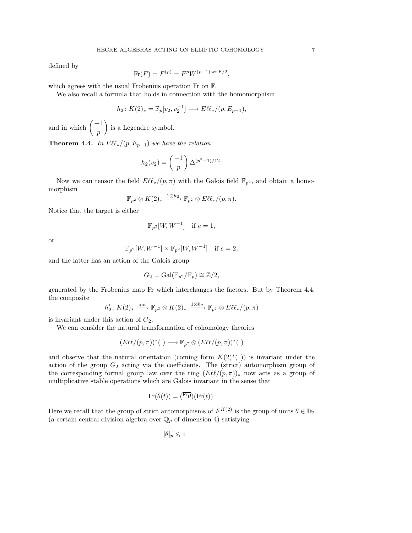defined by

$$
\text{Fr}(F) = F^{(p)} = F^p W^{(p-1) \text{ wt } F/2}
$$

,

which agrees with the usual Frobenius operation Fr on F.

We also recall a formula that holds in connection with the homomorphism

$$
h_2: K(2)_* = \mathbb{F}_p[v_2, v_2^{-1}] \longrightarrow E\ell\ell_*/(p, E_{p-1}),
$$

and in which  $\left(\frac{-1}{2}\right)$ p  $\mathbf{r}$ is a Legendre symbol.

**Theorem 4.4.** In  $E\ell\ell_*/(p, E_{p-1})$  we have the relation

$$
h_2(v_2) = \left(\frac{-1}{p}\right) \Delta^{(p^2-1)/12}.
$$

Now we can tensor the field  $E\ell\ell_*/(p,\pi)$  with the Galois field  $\mathbb{F}_{p^2}$ , and obtain a homomorphism

$$
\mathbb{F}_{p^2}\otimes K(2)_*\xrightarrow{1\otimes h_2} \mathbb{F}_{p^2}\otimes E\ell\ell_*/(p,\pi).
$$

Notice that the target is either

$$
\mathbb{F}_{p^2}[W, W^{-1}] \quad \text{if } e = 1,
$$

or

$$
\mathbb{F}_{p^2}[W, W^{-1}] \times \mathbb{F}_{p^2}[W, W^{-1}] \quad \text{if } e = 2,
$$

and the latter has an action of the Galois group

$$
G_2 = \text{Gal}(\mathbb{F}_{p^2}/\mathbb{F}_p) \cong \mathbb{Z}/2,
$$

generated by the Frobenius map Fr which interchanges the factors. But by Theorem 4.4, the composite

$$
h'_2
$$
:  $K(2)_*$   $\xrightarrow{\text{incl}} \mathbb{F}_{p^2} \otimes K(2)_*$   $\xrightarrow{1 \otimes h_2} \mathbb{F}_{p^2} \otimes E\ell\ell_*/(p,\pi)$ 

is invariant under this action of  $G_2$ .

We can consider the natural transformation of cohomology theories

$$
(E\ell\ell/(p,\pi))^*(\ ) \longrightarrow \mathbb{F}_{p^2} \otimes (E\ell\ell/(p,\pi))^*(\ )
$$

and observe that the natural orientation (coming form  $K(2)^*$  ()) is invariant under the action of the group  $G_2$  acting via the coefficients. The (strict) automorphism group of the corresponding formal group law over the ring  $(E\ell\ell/(p,\pi))_*$  now acts as a group of multiplicative stable operations which are Galois invariant in the sense that

$$
\text{Fr}(\overline{\theta}(t)) = (\overline{\text{Fr}\theta})(\text{Fr}(t)).
$$

Here we recall that the group of strict automorphisms of  $F^{K(2)}$  is the group of units  $\theta \in \mathbb{D}_2$ (a certain central division algebra over  $\mathbb{Q}_p$  of dimension 4) satisfying

 $|\theta|_p \leqslant 1$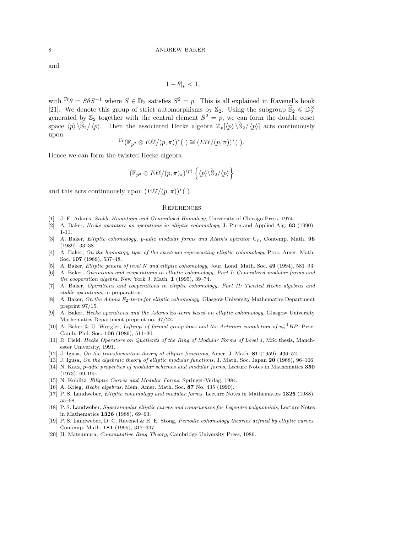and

$$
|1-\theta|_p<1,
$$

with  $\text{Fr}\theta = S\theta S^{-1}$  where  $S \in \mathbb{D}_2$  satisfies  $S^2 = p$ . This is all explained in Ravenel's book [21]. We denote this group of strict automorphisms by  $\mathbb{S}_2$ . Using the subgroup  $\widetilde{\mathbb{S}}_2 \leqslant \mathbb{D}_2^{\times}$ generated by  $\mathbb{S}_2$  together with the central element  $S^2 = p$ , we can form the double coset space  $\langle p \rangle \langle \tilde{S}_2 / \langle p \rangle$ . Then the associated Hecke algebra  $\mathbb{Z}_p[\langle p \rangle \langle \tilde{S}_2 / \langle p \rangle]$  acts continuously upon

$$
^{Fr}(\mathbb{F}_{p^2} \otimes E\ell\ell/(p,\pi))^*(\ ) \cong (E\ell\ell/(p,\pi))^*(\ ).
$$

Hence we can form the twisted Hecke algebra

$$
(\mathbb{F}_{p^2} \otimes E\ell\ell/(p,\pi)_*)^{\langle p \rangle} \left\{ \langle p \rangle \backslash \widetilde{\mathbb{S}}_2/\langle p \rangle \right\}
$$

and this acts continuously upon  $(E\ell\ell/(p,\pi))^*$  ().

#### **REFERENCES**

- [1] J. F. Adams, Stable Homotopy and Generalised Homology, University of Chicago Press, 1974.
- [2] A. Baker, *Hecke operators as operations in elliptic cohomology*, J. Pure and Applied Alg. **63** (1990), 1-11.
- [3] A. Baker, Elliptic cohomology, p-adic modular forms and Atkin's operator  $U_p$ , Contemp. Math. 96 (1989), 33–38.
- [4] A. Baker, On the homotopy type of the spectrum representing elliptic cohomology, Proc. Amer. Math. Soc. 107 (1989), 537–48.
- [5] A. Baker, Elliptic genera of level N and elliptic cohomology, Jour. Lond. Math. Soc. 49 (1994), 581–93.
- [6] A. Baker, Operations and cooperations in elliptic cohomology, Part I: Generalized modular forms and the cooperation algebra, New York J. Math. 1 (1995), 39–74.
- [7] A. Baker, Operations and cooperations in elliptic cohomology, Part II: Twisted Hecke algebras and stable operations, in preparation.
- [8] A. Baker, On the Adams E<sub>2</sub>-term for elliptic cohomology, Glasgow University Mathematics Department preprint 97/15.
- [9] A. Baker, Hecke operations and the Adams E<sub>2</sub>-term based on elliptic cohomology, Glasgow University Mathematics Department preprint no. 97/22.
- [10] A. Baker & U. Würgler, Liftings of formal group laws and the Artinian completion of  $v_n^{-1}BP$ , Proc. Camb. Phil. Soc. 106 (1989), 511–30.
- [11] R. Field, *Hecke Operators on Quotients of the Ring of Modular Forms of Level 1*, MSc thesis, Manchester University, 1991.
- [12] J. Igusa, On the transformation theory of elliptic functions, Amer. J. Math. 81 (1959), 436–52.
- [13] J. Igusa, On the algebraic theory of elliptic modular functions, J. Math. Soc. Japan 20 (1968), 96–106. [14] N. Katz, p-adic properties of modular schemes and modular forms, Lecture Notes in Mathematics 350 (1973), 69-190.
- [15] N. Koblitz, *Elliptic Curves and Modular Forms*, Springer-Verlag, 1984.
- [16] A. Krieg, *Hecke algebras*, Mem. Amer. Math. Soc. 87 No. 435 (1990).
- [17] P. S. Landweber, Elliptic cohomology and modular forms, Lecture Notes in Mathematics 1326 (1988), 55–68.
- [18] P. S. Landweber, Supersingular elliptic curves and congruences for Legendre polynomials, Lecture Notes in Mathematics 1326 (1988), 69–93.
- [19] P. S. Landweber, D. C. Ravenel & R. E. Stong, Periodic cohomology theories defined by elliptic curves, Contemp. Math. 181 (1995), 317–337.
- [20] H. Matsumura, Commutative Ring Theory, Cambridge University Press, 1986.